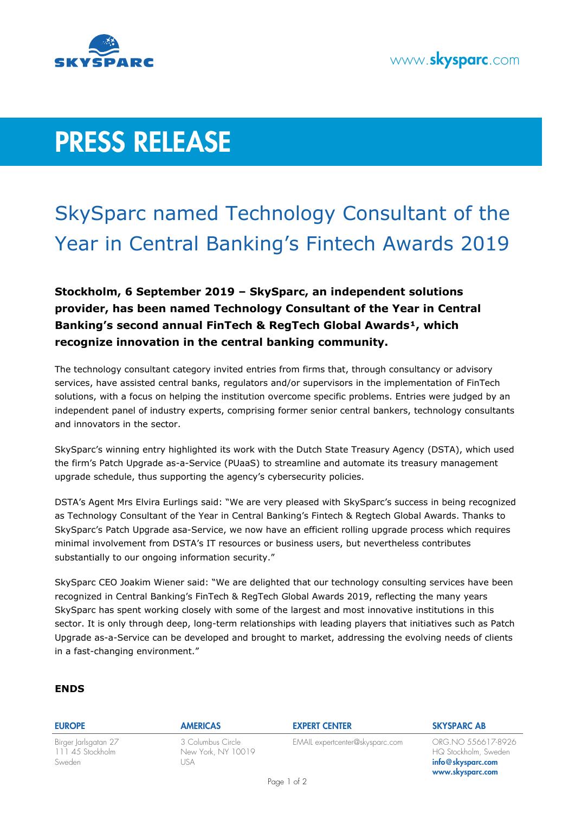

# **PRESS RELEASE**

## SkySparc named Technology Consultant of the Year in Central Banking's Fintech Awards 2019

**Stockholm, 6 September 2019 – SkySparc, an independent solutions provider, has been named Technology Consultant of the Year in Central Banking's second annual FinTech & RegTech Global Awards<sup>1</sup>, which recognize innovation in the central banking community.**

The technology consultant category invited entries from firms that, through consultancy or advisory services, have assisted central banks, regulators and/or supervisors in the implementation of FinTech solutions, with a focus on helping the institution overcome specific problems. Entries were judged by an independent panel of industry experts, comprising former senior central bankers, technology consultants and innovators in the sector.

SkySparc's winning entry highlighted its work with the Dutch State Treasury Agency (DSTA), which used the firm's Patch Upgrade as-a-Service (PUaaS) to streamline and automate its treasury management upgrade schedule, thus supporting the agency's cybersecurity policies.

DSTA's Agent Mrs Elvira Eurlings said: "We are very pleased with SkySparc's success in being recognized as Technology Consultant of the Year in Central Banking's Fintech & Regtech Global Awards. Thanks to SkySparc's Patch Upgrade asa-Service, we now have an efficient rolling upgrade process which requires minimal involvement from DSTA's IT resources or business users, but nevertheless contributes substantially to our ongoing information security."

SkySparc CEO Joakim Wiener said: "We are delighted that our technology consulting services have been recognized in Central Banking's FinTech & RegTech Global Awards 2019, reflecting the many years SkySparc has spent working closely with some of the largest and most innovative institutions in this sector. It is only through deep, long-term relationships with leading players that initiatives such as Patch Upgrade as-a-Service can be developed and brought to market, addressing the evolving needs of clients in a fast-changing environment."

### **ENDS**

| <b>EUROPE</b>                                     | <b>AMERICAS</b>                                 | <b>EXPERT CENTER</b>            | <b>SKYSPARC AB</b>                                                                     |
|---------------------------------------------------|-------------------------------------------------|---------------------------------|----------------------------------------------------------------------------------------|
| Birger Jarlsgatan 27<br>11145 Stockholm<br>Sweden | 3 Columbus Circle<br>New York, NY 10019<br>JSA. | EMAIL expertcenter@skysparc.com | ORG.NO 556617-8926<br>HQ Stockholm, Sweden<br>$info@$ skysparc.com<br>www.skysparc.com |